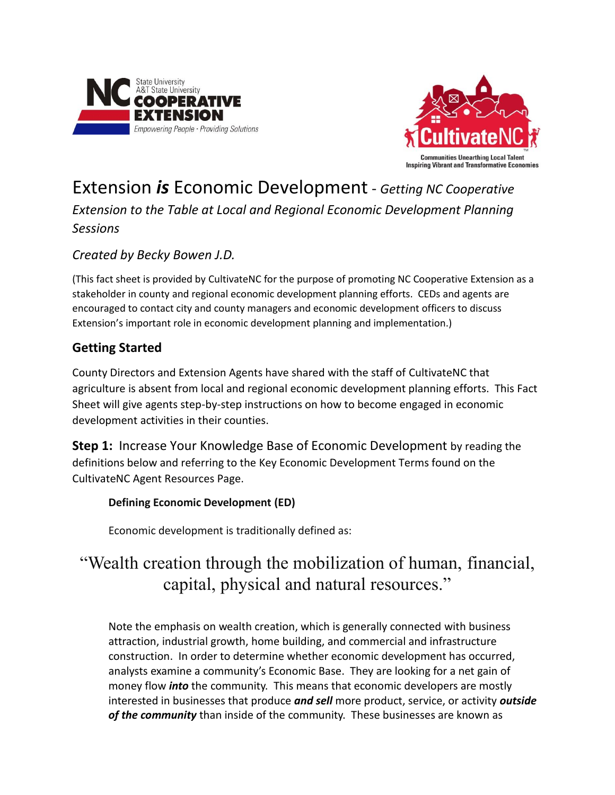



# Extension *is* Economic Development - *Getting NC Cooperative*

*Extension to the Table at Local and Regional Economic Development Planning Sessions*

## *Created by Becky Bowen J.D.*

(This fact sheet is provided by CultivateNC for the purpose of promoting NC Cooperative Extension as a stakeholder in county and regional economic development planning efforts. CEDs and agents are encouraged to contact city and county managers and economic development officers to discuss Extension's important role in economic development planning and implementation.)

## **Getting Started**

County Directors and Extension Agents have shared with the staff of CultivateNC that agriculture is absent from local and regional economic development planning efforts. This Fact Sheet will give agents step-by-step instructions on how to become engaged in economic development activities in their counties.

**Step 1:** Increase Your Knowledge Base of Economic Development by reading the definitions below and referring to the Key Economic Development Terms found on the CultivateNC Agent Resources Page.

#### **Defining Economic Development (ED)**

Economic development is traditionally defined as:

# "Wealth creation through the mobilization of human, financial, capital, physical and natural resources."

Note the emphasis on wealth creation, which is generally connected with business attraction, industrial growth, home building, and commercial and infrastructure construction. In order to determine whether economic development has occurred, analysts examine a community's Economic Base. They are looking for a net gain of money flow *into* the community. This means that economic developers are mostly interested in businesses that produce *and sell* more product, service, or activity *outside of the community* than inside of the community. These businesses are known as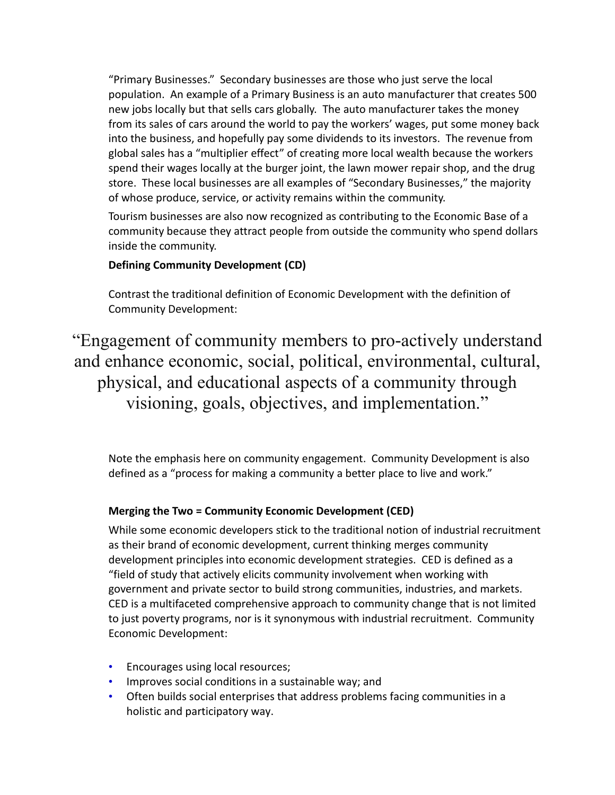"Primary Businesses." Secondary businesses are those who just serve the local population. An example of a Primary Business is an auto manufacturer that creates 500 new jobs locally but that sells cars globally. The auto manufacturer takes the money from its sales of cars around the world to pay the workers' wages, put some money back into the business, and hopefully pay some dividends to its investors. The revenue from global sales has a "multiplier effect" of creating more local wealth because the workers spend their wages locally at the burger joint, the lawn mower repair shop, and the drug store. These local businesses are all examples of "Secondary Businesses," the majority of whose produce, service, or activity remains within the community.

Tourism businesses are also now recognized as contributing to the Economic Base of a community because they attract people from outside the community who spend dollars inside the community.

#### **Defining Community Development (CD)**

Contrast the traditional definition of Economic Development with the definition of Community Development:

"Engagement of community members to pro-actively understand and enhance economic, social, political, environmental, cultural, physical, and educational aspects of a community through visioning, goals, objectives, and implementation."

Note the emphasis here on community engagement. Community Development is also defined as a "process for making a community a better place to live and work."

#### **Merging the Two = Community Economic Development (CED)**

While some economic developers stick to the traditional notion of industrial recruitment as their brand of economic development, current thinking merges community development principles into economic development strategies. CED is defined as a "field of study that actively elicits community involvement when working with government and private sector to build strong communities, industries, and markets. CED is a multifaceted comprehensive approach to community change that is not limited to just poverty programs, nor is it synonymous with industrial recruitment. Community Economic Development:

- Encourages using local resources;
- Improves social conditions in a sustainable way; and
- Often builds social enterprises that address problems facing communities in a holistic and participatory way.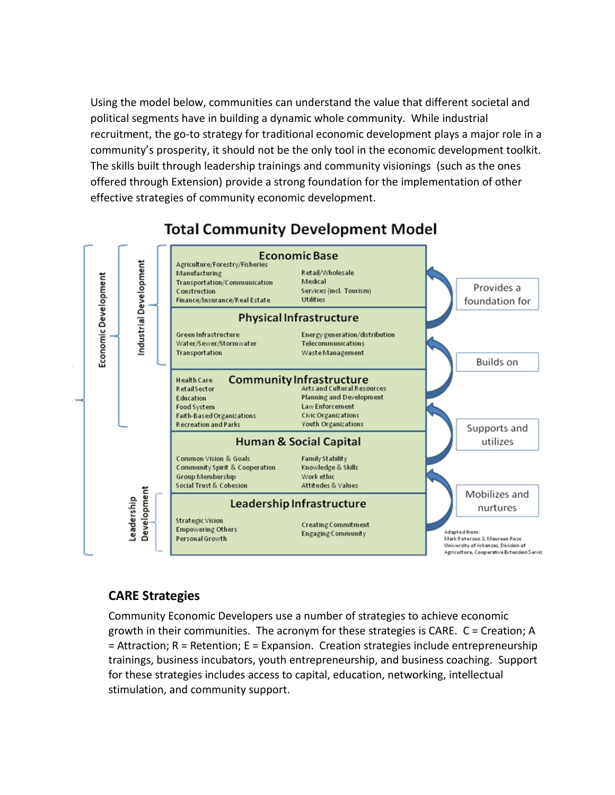Using the model below, communities can understand the value that different societal and political segments have in building a dynamic whole community. While industrial recruitment, the go-to strategy for traditional economic development plays a major role in a community's prosperity, it should not be the only tool in the economic development toolkit. The skills built through leadership trainings and community visionings (such as the ones offered through Extension) provide a strong foundation for the implementation of other effective strategies of community economic development.



# **Total Community Development Model**

## **CARE Strategies**

Community Economic Developers use a number of strategies to achieve economic growth in their communities. The acronym for these strategies is CARE. C = Creation; A = Attraction; R = Retention; E = Expansion. Creation strategies include entrepreneurship trainings, business incubators, youth entrepreneurship, and business coaching. Support for these strategies includes access to capital, education, networking, intellectual stimulation, and community support.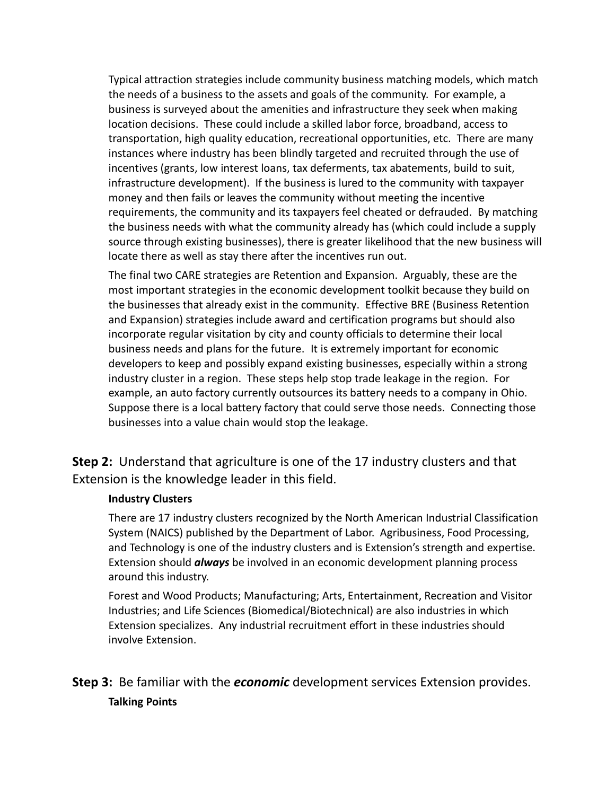Typical attraction strategies include community business matching models, which match the needs of a business to the assets and goals of the community. For example, a business is surveyed about the amenities and infrastructure they seek when making location decisions. These could include a skilled labor force, broadband, access to transportation, high quality education, recreational opportunities, etc. There are many instances where industry has been blindly targeted and recruited through the use of incentives (grants, low interest loans, tax deferments, tax abatements, build to suit, infrastructure development). If the business is lured to the community with taxpayer money and then fails or leaves the community without meeting the incentive requirements, the community and its taxpayers feel cheated or defrauded. By matching the business needs with what the community already has (which could include a supply source through existing businesses), there is greater likelihood that the new business will locate there as well as stay there after the incentives run out.

The final two CARE strategies are Retention and Expansion. Arguably, these are the most important strategies in the economic development toolkit because they build on the businesses that already exist in the community. Effective BRE (Business Retention and Expansion) strategies include award and certification programs but should also incorporate regular visitation by city and county officials to determine their local business needs and plans for the future. It is extremely important for economic developers to keep and possibly expand existing businesses, especially within a strong industry cluster in a region. These steps help stop trade leakage in the region. For example, an auto factory currently outsources its battery needs to a company in Ohio. Suppose there is a local battery factory that could serve those needs. Connecting those businesses into a value chain would stop the leakage.

**Step 2:** Understand that agriculture is one of the 17 industry clusters and that Extension is the knowledge leader in this field.

#### **Industry Clusters**

There are 17 industry clusters recognized by the North American Industrial Classification System (NAICS) published by the Department of Labor. Agribusiness, Food Processing, and Technology is one of the industry clusters and is Extension's strength and expertise. Extension should *always* be involved in an economic development planning process around this industry.

Forest and Wood Products; Manufacturing; Arts, Entertainment, Recreation and Visitor Industries; and Life Sciences (Biomedical/Biotechnical) are also industries in which Extension specializes. Any industrial recruitment effort in these industries should involve Extension.

# **Step 3:** Be familiar with the *economic* development services Extension provides. **Talking Points**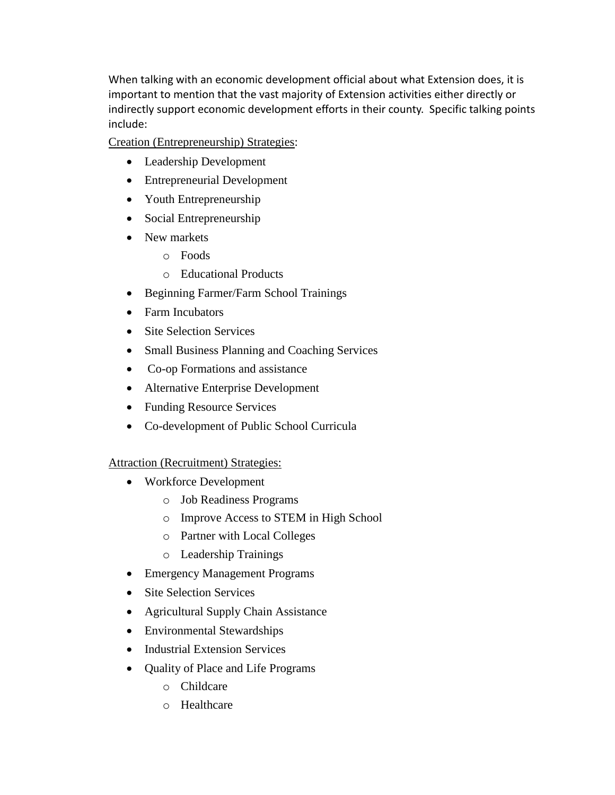When talking with an economic development official about what Extension does, it is important to mention that the vast majority of Extension activities either directly or indirectly support economic development efforts in their county. Specific talking points include:

Creation (Entrepreneurship) Strategies:

- Leadership Development
- Entrepreneurial Development
- Youth Entrepreneurship
- Social Entrepreneurship
- New markets
	- o Foods
	- o Educational Products
- Beginning Farmer/Farm School Trainings
- Farm Incubators
- Site Selection Services
- Small Business Planning and Coaching Services
- Co-op Formations and assistance
- Alternative Enterprise Development
- Funding Resource Services
- Co-development of Public School Curricula

Attraction (Recruitment) Strategies:

- Workforce Development
	- o Job Readiness Programs
	- o Improve Access to STEM in High School
	- o Partner with Local Colleges
	- o Leadership Trainings
- Emergency Management Programs
- Site Selection Services
- Agricultural Supply Chain Assistance
- Environmental Stewardships
- Industrial Extension Services
- Quality of Place and Life Programs
	- o Childcare
	- o Healthcare